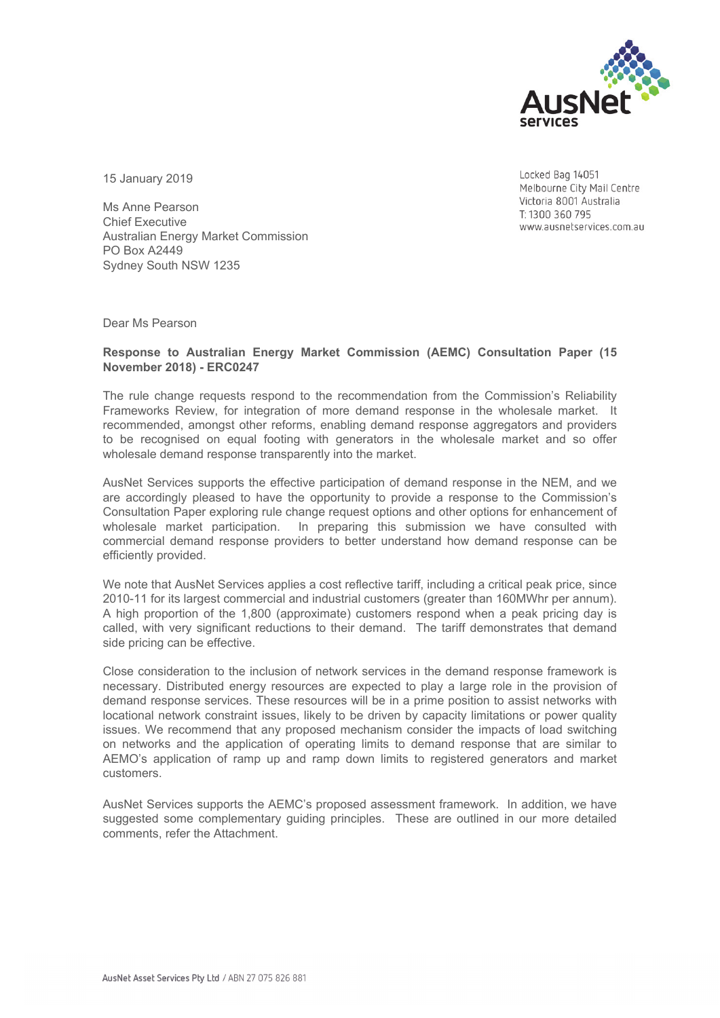

15 January 2019

Ms Anne Pearson Chief Executive Australian Energy Market Commission PO Box A2449 Sydney South NSW 1235

Locked Bag 14051 Melbourne City Mail Centre Victoria 8001 Australia T: 1300 360 795 www.ausnetservices.com.au

Dear Ms Pearson

### **Response to Australian Energy Market Commission (AEMC) Consultation Paper (15 November 2018) - ERC0247**

The rule change requests respond to the recommendation from the Commission's Reliability Frameworks Review, for integration of more demand response in the wholesale market. It recommended, amongst other reforms, enabling demand response aggregators and providers to be recognised on equal footing with generators in the wholesale market and so offer wholesale demand response transparently into the market.

AusNet Services supports the effective participation of demand response in the NEM, and we are accordingly pleased to have the opportunity to provide a response to the Commission's Consultation Paper exploring rule change request options and other options for enhancement of wholesale market participation. In preparing this submission we have consulted with commercial demand response providers to better understand how demand response can be efficiently provided.

We note that AusNet Services applies a cost reflective tariff, including a critical peak price, since 2010-11 for its largest commercial and industrial customers (greater than 160MWhr per annum). A high proportion of the 1,800 (approximate) customers respond when a peak pricing day is called, with very significant reductions to their demand. The tariff demonstrates that demand side pricing can be effective.

Close consideration to the inclusion of network services in the demand response framework is necessary. Distributed energy resources are expected to play a large role in the provision of demand response services. These resources will be in a prime position to assist networks with locational network constraint issues, likely to be driven by capacity limitations or power quality issues. We recommend that any proposed mechanism consider the impacts of load switching on networks and the application of operating limits to demand response that are similar to AEMO's application of ramp up and ramp down limits to registered generators and market customers.

AusNet Services supports the AEMC's proposed assessment framework. In addition, we have suggested some complementary guiding principles. These are outlined in our more detailed comments, refer the Attachment.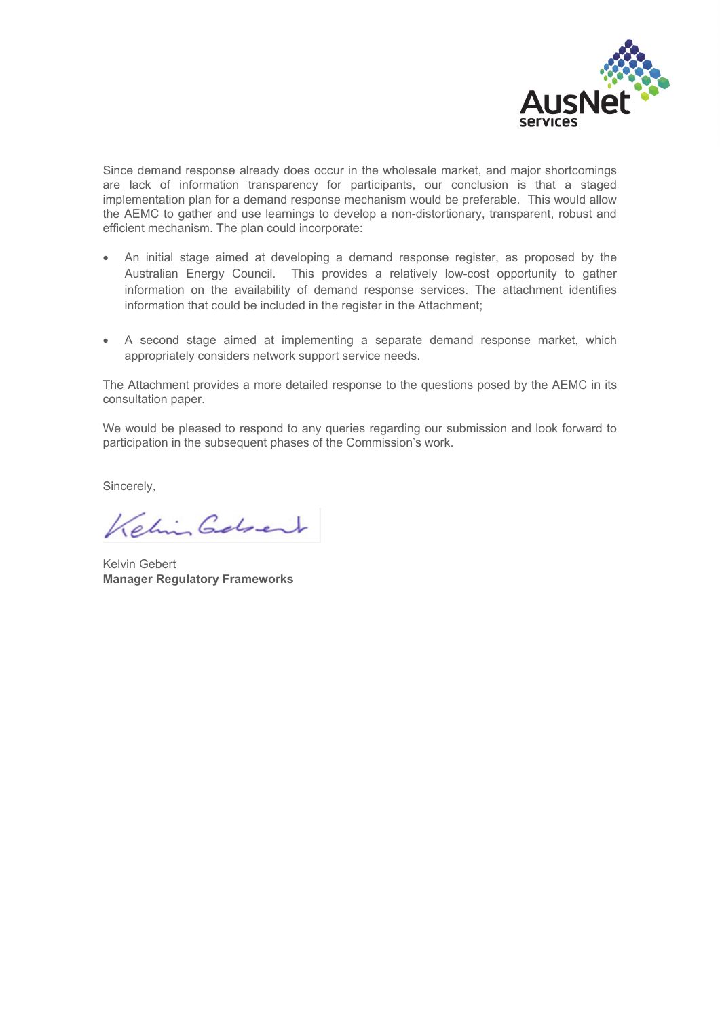

Since demand response already does occur in the wholesale market, and major shortcomings are lack of information transparency for participants, our conclusion is that a staged implementation plan for a demand response mechanism would be preferable. This would allow the AEMC to gather and use learnings to develop a non-distortionary, transparent, robust and efficient mechanism. The plan could incorporate:

- An initial stage aimed at developing a demand response register, as proposed by the Australian Energy Council. This provides a relatively low-cost opportunity to gather information on the availability of demand response services. The attachment identifies information that could be included in the register in the Attachment;
- A second stage aimed at implementing a separate demand response market, which appropriately considers network support service needs.

The Attachment provides a more detailed response to the questions posed by the AEMC in its consultation paper.

We would be pleased to respond to any queries regarding our submission and look forward to participation in the subsequent phases of the Commission's work.

Sincerely,

Kehin Gebert

Kelvin Gebert **Manager Regulatory Frameworks**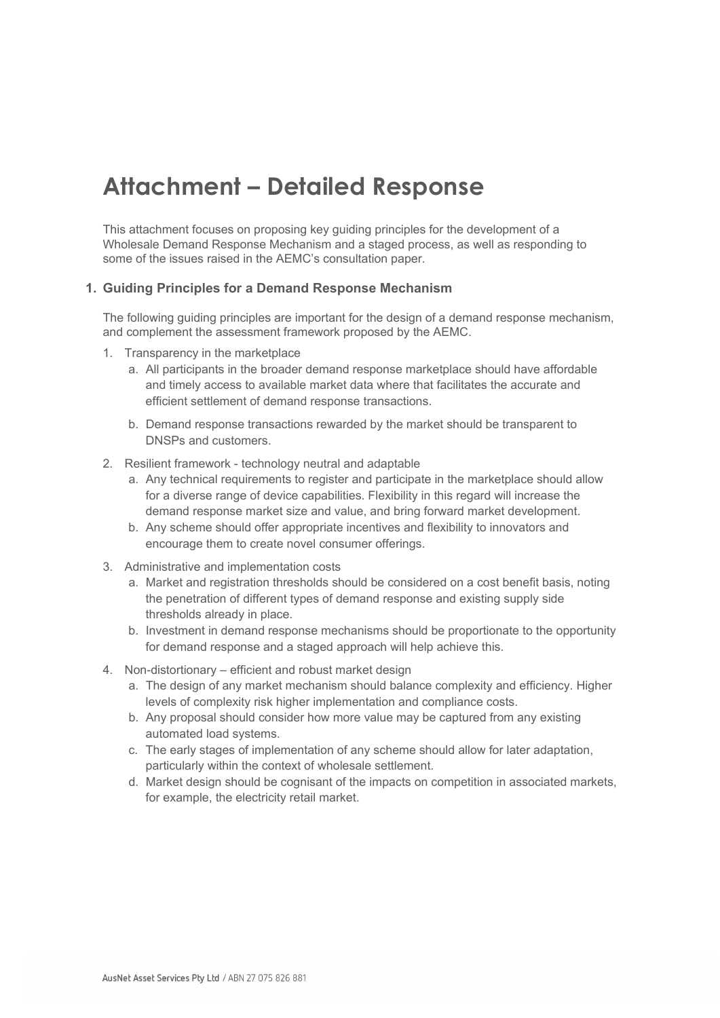# **Attachment – Detailed Response**

This attachment focuses on proposing key guiding principles for the development of a Wholesale Demand Response Mechanism and a staged process, as well as responding to some of the issues raised in the AEMC's consultation paper.

## **1. Guiding Principles for a Demand Response Mechanism**

The following guiding principles are important for the design of a demand response mechanism, and complement the assessment framework proposed by the AEMC.

- 1. Transparency in the marketplace
	- a. All participants in the broader demand response marketplace should have affordable and timely access to available market data where that facilitates the accurate and efficient settlement of demand response transactions.
	- b. Demand response transactions rewarded by the market should be transparent to DNSPs and customers.
- 2. Resilient framework technology neutral and adaptable
	- a. Any technical requirements to register and participate in the marketplace should allow for a diverse range of device capabilities. Flexibility in this regard will increase the demand response market size and value, and bring forward market development.
	- b. Any scheme should offer appropriate incentives and flexibility to innovators and encourage them to create novel consumer offerings.
- 3. Administrative and implementation costs
	- a. Market and registration thresholds should be considered on a cost benefit basis, noting the penetration of different types of demand response and existing supply side thresholds already in place.
	- b. Investment in demand response mechanisms should be proportionate to the opportunity for demand response and a staged approach will help achieve this.
- 4. Non-distortionary efficient and robust market design
	- a. The design of any market mechanism should balance complexity and efficiency. Higher levels of complexity risk higher implementation and compliance costs.
	- b. Any proposal should consider how more value may be captured from any existing automated load systems.
	- c. The early stages of implementation of any scheme should allow for later adaptation, particularly within the context of wholesale settlement.
	- d. Market design should be cognisant of the impacts on competition in associated markets, for example, the electricity retail market.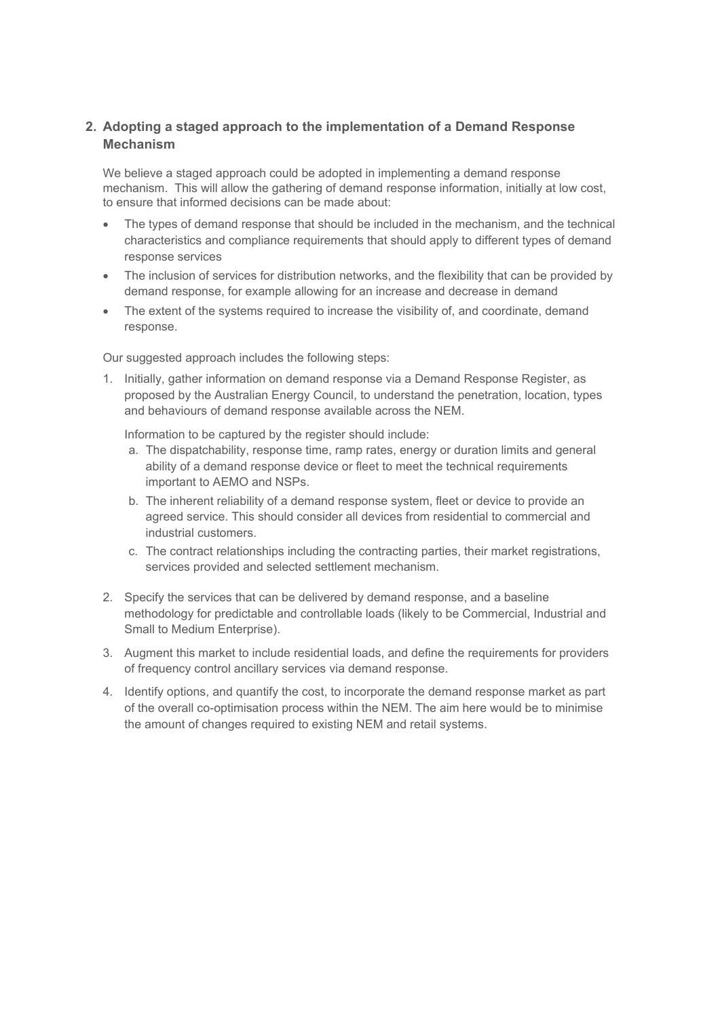## **2. Adopting a staged approach to the implementation of a Demand Response Mechanism**

We believe a staged approach could be adopted in implementing a demand response mechanism. This will allow the gathering of demand response information, initially at low cost, to ensure that informed decisions can be made about:

- The types of demand response that should be included in the mechanism, and the technical characteristics and compliance requirements that should apply to different types of demand response services
- The inclusion of services for distribution networks, and the flexibility that can be provided by demand response, for example allowing for an increase and decrease in demand
- The extent of the systems required to increase the visibility of, and coordinate, demand response.

Our suggested approach includes the following steps:

1. Initially, gather information on demand response via a Demand Response Register, as proposed by the Australian Energy Council, to understand the penetration, location, types and behaviours of demand response available across the NEM.

Information to be captured by the register should include:

- a. The dispatchability, response time, ramp rates, energy or duration limits and general ability of a demand response device or fleet to meet the technical requirements important to AEMO and NSPs.
- b. The inherent reliability of a demand response system, fleet or device to provide an agreed service. This should consider all devices from residential to commercial and industrial customers.
- c. The contract relationships including the contracting parties, their market registrations, services provided and selected settlement mechanism.
- 2. Specify the services that can be delivered by demand response, and a baseline methodology for predictable and controllable loads (likely to be Commercial, Industrial and Small to Medium Enterprise).
- 3. Augment this market to include residential loads, and define the requirements for providers of frequency control ancillary services via demand response.
- 4. Identify options, and quantify the cost, to incorporate the demand response market as part of the overall co-optimisation process within the NEM. The aim here would be to minimise the amount of changes required to existing NEM and retail systems.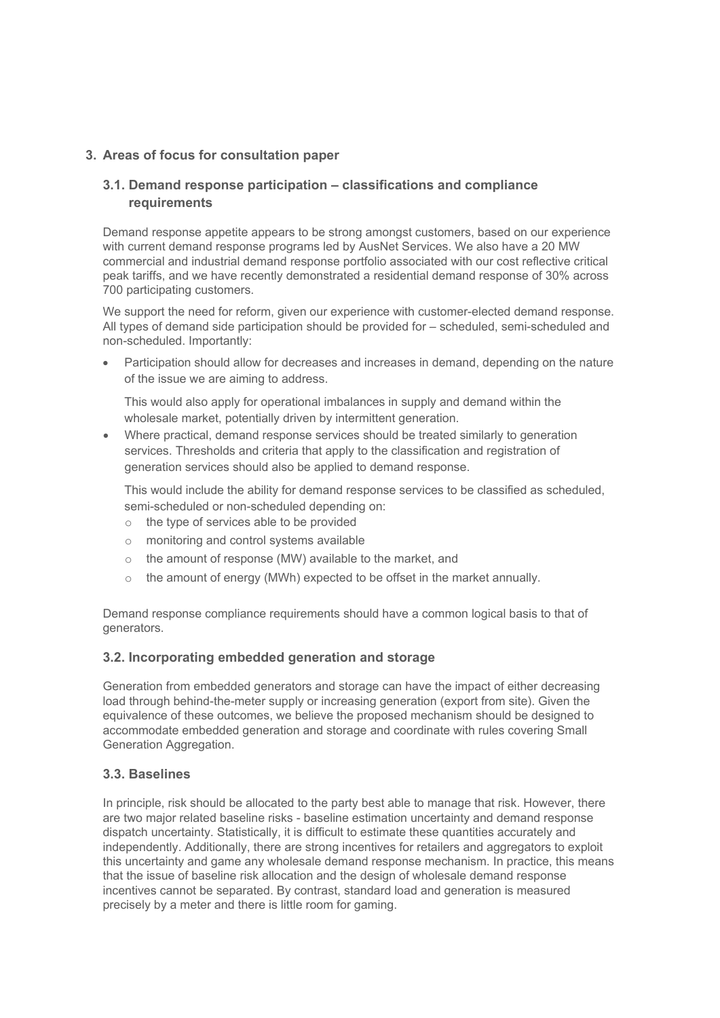# **3. Areas of focus for consultation paper**

# **3.1. Demand response participation – classifications and compliance requirements**

Demand response appetite appears to be strong amongst customers, based on our experience with current demand response programs led by AusNet Services. We also have a 20 MW commercial and industrial demand response portfolio associated with our cost reflective critical peak tariffs, and we have recently demonstrated a residential demand response of 30% across 700 participating customers.

We support the need for reform, given our experience with customer-elected demand response. All types of demand side participation should be provided for – scheduled, semi-scheduled and non-scheduled. Importantly:

 Participation should allow for decreases and increases in demand, depending on the nature of the issue we are aiming to address.

This would also apply for operational imbalances in supply and demand within the wholesale market, potentially driven by intermittent generation.

 Where practical, demand response services should be treated similarly to generation services. Thresholds and criteria that apply to the classification and registration of generation services should also be applied to demand response.

This would include the ability for demand response services to be classified as scheduled, semi-scheduled or non-scheduled depending on:

- o the type of services able to be provided
- o monitoring and control systems available
- o the amount of response (MW) available to the market, and
- o the amount of energy (MWh) expected to be offset in the market annually.

Demand response compliance requirements should have a common logical basis to that of generators.

### **3.2. Incorporating embedded generation and storage**

Generation from embedded generators and storage can have the impact of either decreasing load through behind-the-meter supply or increasing generation (export from site). Given the equivalence of these outcomes, we believe the proposed mechanism should be designed to accommodate embedded generation and storage and coordinate with rules covering Small Generation Aggregation.

### **3.3. Baselines**

In principle, risk should be allocated to the party best able to manage that risk. However, there are two major related baseline risks - baseline estimation uncertainty and demand response dispatch uncertainty. Statistically, it is difficult to estimate these quantities accurately and independently. Additionally, there are strong incentives for retailers and aggregators to exploit this uncertainty and game any wholesale demand response mechanism. In practice, this means that the issue of baseline risk allocation and the design of wholesale demand response incentives cannot be separated. By contrast, standard load and generation is measured precisely by a meter and there is little room for gaming.